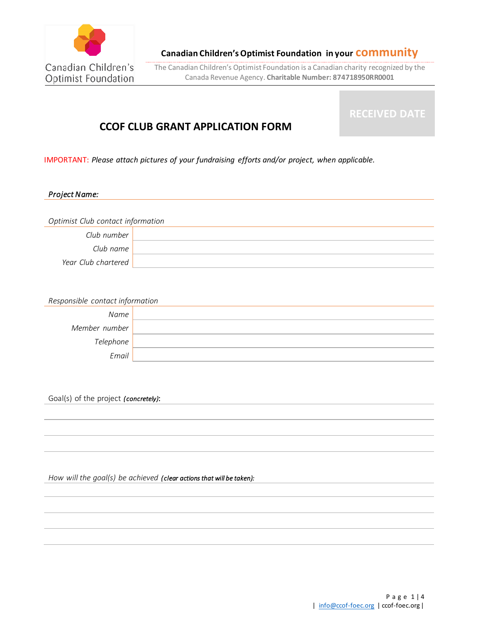

The Canadian Children's Optimist Foundation is a Canadian charity recognized by the Canada Revenue Agency. **Charitable Number: 874718950RR0001**

# **CCOF CLUB GRANT APPLICATION FORM**

**RECEIVED DATE**

IMPORTANT: *Please attach pictures of your fundraising efforts and/or project, when applicable.*

# *Project Name:*

| Optimist Club contact information |  |
|-----------------------------------|--|
| Club number                       |  |
| Club name                         |  |
| Year Club chartered               |  |

| Responsible contact information |  |
|---------------------------------|--|
| Name                            |  |
| Member number                   |  |
| Telephone                       |  |
| Email                           |  |

Goal(s) of the project *(concretely)*:

*How will the goal(s) be achieved (clear actions that will be taken):*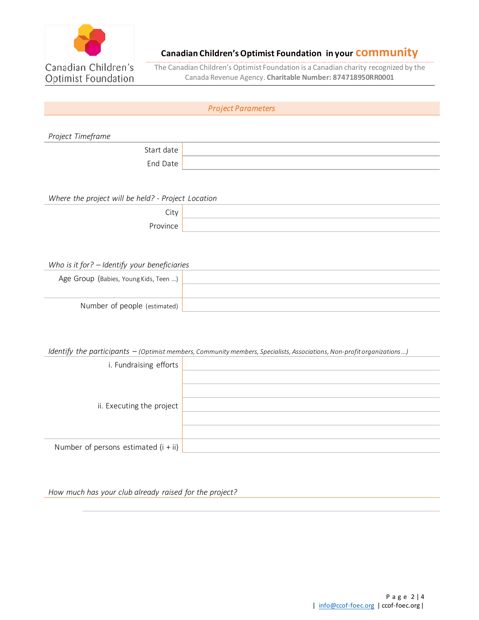

The Canadian Children's Optimist Foundation is a Canadian charity recognized by the Canada Revenue Agency. **Charitable Number: 874718950RR0001**

# *Project Parameters*

*Project Timeframe*

Start date End Date

*Where the project will be held? - Project Location*

| -        |  |
|----------|--|
| ا ب      |  |
| Province |  |

## *Who is it for? – Identify your beneficiaries*

| Age Group (Babies, Young Kids, Teen ) |  |
|---------------------------------------|--|
|                                       |  |
| Number of people (estimated)          |  |

## *Identify the participants – (Optimist members, Community members, Specialists, Associations, Non-profit organizations …)*

| i. Fundraising efforts                 |  |
|----------------------------------------|--|
|                                        |  |
| ii. Executing the project              |  |
|                                        |  |
|                                        |  |
| Number of persons estimated $(i + ii)$ |  |

*How much has your club already raised for the project?*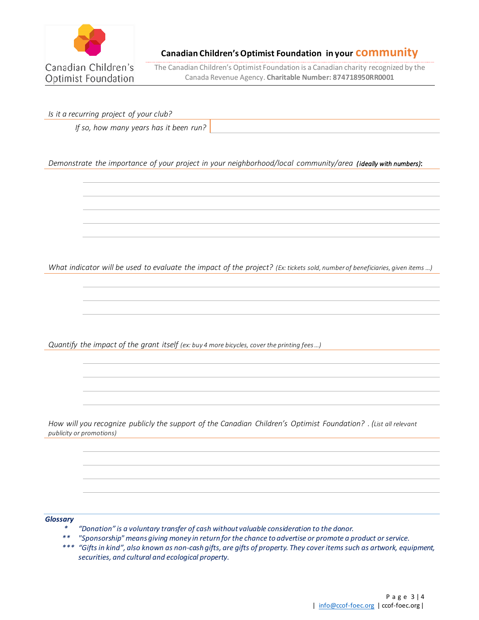

The Canadian Children's Optimist Foundation is a Canadian charity recognized by the Canada Revenue Agency. **Charitable Number: 874718950RR0001**

*Is it a recurring project of your club?* 

*If so, how many years has it been run?*

*Demonstrate the importance of your project in your neighborhood/local community/area (ideally with numbers)*:

*What indicator will be used to evaluate the impact of the project? (Ex: tickets sold, number of beneficiaries, given items ...)* 

*Quantify the impact of the grant itself (ex: buy 4 more bicycles, cover the printing fees …)*

*How will you recognize publicly the support of the Canadian Children's Optimist Foundation? . (List all relevant publicity or promotions)*

### *Glossary*

- *\* "Donation" is a voluntary transfer of cash without valuable consideration to the donor.*
- *\*\* "Sponsorship" means giving money in return for the chance to advertise or promote a product or service.*
- *\*\*\* "Gifts in kind", also known as non-cash gifts, are gifts of property. They cover items such as artwork, equipment, securities, and cultural and ecological property.*